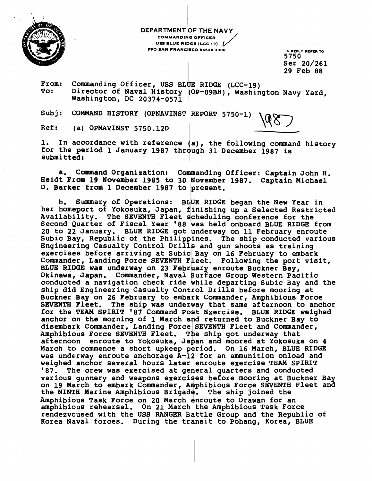

**DEPARTMENT OF THE NAVY**<br>COMMANDING OFFICER<br>USS BLUE RIDGE (LCC 19) **COMMANDING OFFICER EXECUTE RIVAL SERVICE RIVAL COMMANDING OFFICER**<br>
USS BLUE RIDGE (LCC 19) **J**<br>
FPO SAN FRANCISCO 96628-3300 IN REPLY REFER TO

IN REPLY REFER TO Ser 20/261 29 Feb 88

1987

From: Commanding Officer, USS BLUE RIDGE (LCC-19)<br>To: Director of Naval History (OP-09BH), Washin Director of Naval History (OP-09BH), Washington Navy Yard, Washington, DC  $20374 - 057\overline{1}$ 

Subj: COMMAND HISTORY (OPNAVINST REPORT 5750-1)

Ref: (a) OPNAVINST 5750.12D

1. In accordance with reference (a), the following command history for the period 1 January 1987 through 31 December 1987 is submitted:

a. Command Organization: Commanding Officer: Captain John H. Heidt From 19 November 1985 to 30 November 1987. Captain Michael D. Barker **from 1** December 1987 to present.

b. Summary of Operations: BLUE RIDGE began the New Year in her homeport of Yokosuka, Japan, finishing up a Selected Restricted Availability. The SEVENTH Fleet scheduling conference for the Second (Quarter of Fiscal Year '88 was held onboard BLUE RIDGE from 20 to 22 January. BLUE RIDGE got underway on 11 February enroute Subic Bay, Republic of the Philippines. The ship conducted various Engineering Casualty Control Drills and gun shoots as training exercises before arriving at Subic Bay on 16 February to embark Commander, Landing Force SEVENTH Fleet. Following the port visit, BLUE RIDGE was underway on 23 February enroute Buckner Bay, Okinawa, Japan. Commander, Naval Surface Group Western Pacific conducted a navigation check ride while departing Subic Bay and the ship did Engineering Casualty Control Drills before mooring at Buckner Bay on 26 February to embark Commander, Amphibious Force SEVENTH Fleet. The ship was underway that same afternoon to anchor for the TEAM SPIRIT '87 Command Post Exercise. BLUE RIDGE weighed anchor on the morning of **1** March ard returned to Buckner Bay to disembark Commander, Landing Force SEVENTH Fleet and Commander, Amphibious Force SEVENTH Fleet. The ship got underway that afternoon enroute to Yokosuka, Japan and moored at Yokosuka on 4 March to commence a short upkeep period. On 16 March, BLUE RIDGE was underway enroute anchorage  $A-12$  for an ammunition onload and weighed anchor several hours later enroute exercise TEAM SPIRIT '87. The crew was exercised at general quarters and conducted various gunnery and weapons exercises before mooring at Buckner Bay on 19 March to embark Commander, Amphibious Force SEVENTH Fleet and the NINTH Marine Amphibious Brigade. The ship joined the Amphibious Task Force on 20 March enroute to Orawan for an amphibious rehearsal. On 21 March the Amphibious Task Force rendezvoused with the USS RANGER Bqttle Group and the Republic of Korea Naval forces. During the trdnsit to Pohang, Korea, BLUE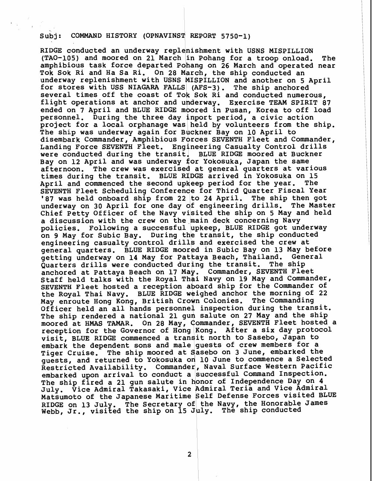## Subj: COMMAND HISTORY (OPNAVINST REPORT 5750-1)

RIDGE conducted an underway replenishment with USNS MISPILLION (TAO-105) and moored on 21 March /in Pohang for a troop onload. The amphibious task force departed Pohang on 26 March and operated near Tok Sok Ri and Ha Sa Ri. On 28 March, the ship conducted an underway replenishment with USNS MISPILLION and another on 5 April for stores with USS NIAGARA FALLS (AFS-3). The ship anchored several times off the coast of Tok Sok Ri and conducted numerous, flight operations at anchor and underway. Exercise TEAM SPIRIT 87 ended on 7 April and BLUE RIDGE moored in Pusan, Korea to off load personnel. During the three day inport period, a civic action project for a local orphanage was held by volunteers from the ship. The ship was underway again for Buckner Bay on 10 April to disembark Commander, Amphibious Fbrces SEVENTH Fleet and Commander, Landing Force SEVENTH Fleet. Engineering Casualty Control drills were conducted during the transit. BLUE RIDGE moored at Buckner Bay on 12 April and was underway for Yokosuka, Japan the same afternoon. The crew was exercised at general quarters at various times during the transit. BLUE RIDGE arrived in Yokosuka on 15<br>April and commenced the second upkeep period for the year. The April and commenced the second upkeep period for the year. SEVENTH Fleet Scheduling Conference for Third Quarter Fiscal Year '87 was held onboard ship from 22 to 24 April. The ship then got underway on 30 April for one day qf engineering drills. The Master Chief Petty Officer of the Navy visited the ship on 5 May and held a discussion with the crew on the main deck concerning Navy policies. Following a successful upkeep, BLUE RIDGE got underway on 9 May for Subic Bay. During the transit, the ship conducted engineering casualty control drills and exercised the crew at general quarters. BLUE RIDGE moored in Subic Bay on 13 May before getting underway on 14 May for Pattaya Beach, Thailand. General Quarters drills were conducted during the transit. The ship anchored at Pattaya Beach on 17 May. Commander, SEVENTH Fleet anchored at Pattaya Beach on 1, may. Commander, Shvhnin ricet<br>Staff held talks with the Royal Thai Navy on 19 May and Commander, SEVENTH Fleet hosted a reception aboard ship for the Commander of the Royal Thai Navy. BLUE RIDGE weighed anchor the morning of 22 May enroute Hong Kong, British Crown Colonies. The Commanding Officer held an all hands personnel inspection during the transit. The ship rendered a national 21 gun salute on 27 May and the ship moored at **HMAS** TAMAR. On 28 May, qommander , SEVENTH Fleet hosted a reception for the Governor of Hong Kong. After a six day protocol visit, BLUE RIDGE commenced a transit north to Sasebo, Japan to embark the dependent sons and male quests of crew members for a Tiger Cruise. The ship moored at Sasebo on 3 June, embarked the guests, and returned to Yokosuka on 10 June to commence a Selected Restricted Availability. Commander, Naval Surface Western Pacific embarked upon arrival to conduct a successful Command Inspection. The ship fired a 21 gun salute in honor of Independence Day on 4 July. Vice Admiral Takasaki, Vice Admiral Teria and Vice Admiral Matsumoto of the Japanese Maritime 6elf Defense Forces visited BLUE RIDGE on 13 July. The Secretary of the Navy, the Honorable James Webb, Jr., visited the ship on 15 July. The ship conducted

 $\mathbf{2}$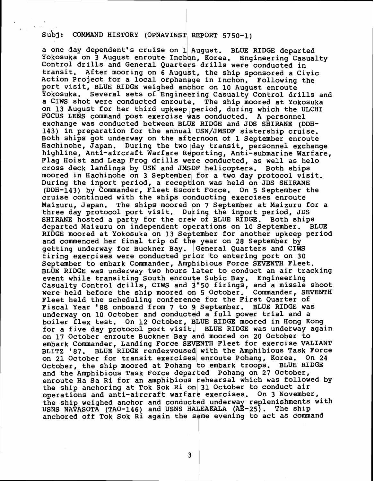## Subj: **COMMAND HISTORY** (OPNAVINST REPORT 5750-1)

. , **<sup>I</sup>**

**a one day dependent's cruise on 1 August. BLUE RIDGE departed**  Yokosuka on 3 August enroute Inchon, Korea. Engineering Casualty Control drills and General Quarters drills were conducted in transit. After mooring on 6 August, the ship sponsored a Civic Action Project for a local orphanage in Inchon. Following the port visit, BLUE RIDGE weighed anchor on 10 August enroute Yokosuka. Several sets of Engineering Casualty Control drills and a CIWS shot were conducted enroute. The ship moored at Yokosuka on 13 August for her third upkeep period, during which the ULCHI FOCUS LENS command post exercise was conducted. A personnel exchange was conducted between BLUE RIDGE and JDS SHIRANE (DDH-**143) in preparation for the annua4 USN/JMSDF sistership cruise. Both ships got underway on the afternoon of 1 September enroute**  Hachinohe, Japan. During the two day transit, personnel exchange highline, Anti-aircraft Warfare Reporting, Anti-submarine Warfare, **Flag Hoist and Leap Frog drills wgre conducted, as well as helo cross deck landings by USN and JMSIDF helicopters. Both ships**  moored in Hachinohe on 3 September for a two day protocol visit. During the inport period, a reception was held on JDS SHIRANE (DDH-143) by Commander, Fleet Escort Force. On 5 September the **cruise continued with the ships copducting exercises enroute Maizuru, Japan. The ships moored on 7 September at Maizuru for a**  three day protocol port visit. During the inport period, JDS **SHIRANE hosted a party for the crey of BLUE RIDGE. Both ships departed Maizuru on independent operations on 10 September. BLUE RIDGE moored at Yokosuka on 13 Sepfember for another upkeep period and commenced her final trip of the year on 28 September by getting underway for Buckner Bay. (General Quarters and CIWS firing exercises were conducted prjor to entering port on 30 September to embark Commander, Amphibious Force SEVENTH Fleet. BLUE RIDGE was underway two hours later to conduct an air tracking**  event while transiting South enroute Subic Bay. Engineering **Casualty Control drills, CIWS and 3"50 firings, and a missle shoot**  were held before the ship moored on 5 October. Commander, SEVENTH Fleet held the scheduling conference for the First Quarter of **Fiscal Year '88 onboard from 7 to 4 September. BLUE RIDGE was underway on 10 October and conducted a full power trial and a**  boiler flex test. On 12 October, BLUE RIDGE moored in Hong Kong for a five day protocol port visit. BLUE RIDGE was underway again **on 17 October enroute Buckner Bay alnd moored on 20 October to**  embark Commander, Landing Force SEVENTH Fleet for exercise VALIANT BLITZ '87. BLUE RIDGE rendezvoused with the Amphibious Task Force on 21 October for transit exercises enroute Pohang, Korea. On 24 **October, the ship moored at Pohang ko embark troops. BLUE RIDGE and the Amphibious Task Force deparked Pohang on 27 October, enroute Ha Sa Ri for an amphibious kehearsal which was followed by the ship anchoring at Tok Sok Ri on 31 October to conduct air**  operations and anti-aircraft warfare exercises. On 3 November, the ship weighed anchor and conducted underway replenishments with USNS NAVASOTA (TAO-146) and USNS HALEAKALA (AE-25). The ship anchored off Tok Sok Ri again the same evening to act as command